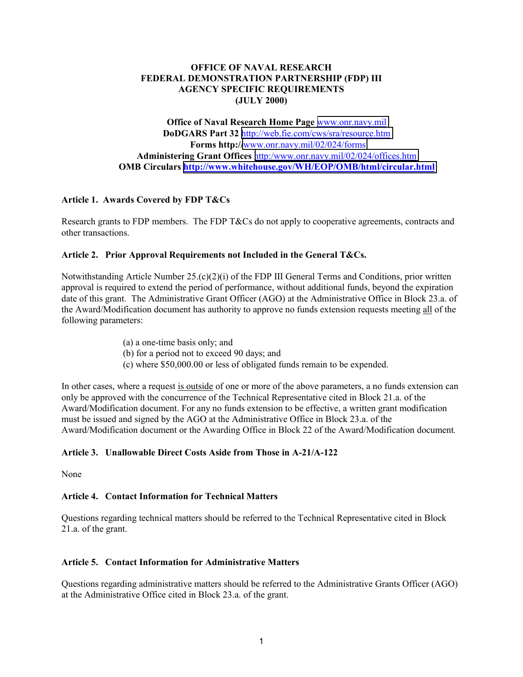## **OFFICE OF NAVAL RESEARCH FEDERAL DEMONSTRATION PARTNERSHIP (FDP) III AGENCY SPECIFIC REQUIREMENTS (JULY 2000)**

**Office of Naval Research Home Page** [www.onr.navy.mil](http://www.onr.navy.mil/) **DoDGARS Part 32** <http://web.fie.com/cws/sra/resource.htm> **Forms http://**[www.onr.navy.mil/02/024/forms](http://www.onr.navy.mil/02/024/forms) **Administering Grant Offices** [http:/www.onr.navy.mil/02/024/offices.htm](http://www.onr.navy.mil/02/024/offices.htm)) **OMB Circulars <http://www.whitehouse.gov/WH/EOP/OMB/html/circular.html>**

## **Article 1. Awards Covered by FDP T&Cs**

Research grants to FDP members. The FDP T&Cs do not apply to cooperative agreements, contracts and other transactions.

### **Article 2. Prior Approval Requirements not Included in the General T&Cs.**

Notwithstanding Article Number 25.(c)(2)(i) of the FDP III General Terms and Conditions, prior written approval is required to extend the period of performance, without additional funds, beyond the expiration date of this grant. The Administrative Grant Officer (AGO) at the Administrative Office in Block 23.a. of the Award/Modification document has authority to approve no funds extension requests meeting all of the following parameters:

- (a) a one-time basis only; and
- (b) for a period not to exceed 90 days; and
- (c) where \$50,000.00 or less of obligated funds remain to be expended.

In other cases, where a request is outside of one or more of the above parameters, a no funds extension can only be approved with the concurrence of the Technical Representative cited in Block 21.a. of the Award/Modification document. For any no funds extension to be effective, a written grant modification must be issued and signed by the AGO at the Administrative Office in Block 23.a. of the Award/Modification document or the Awarding Office in Block 22 of the Award/Modification document*.*

# **Article 3. Unallowable Direct Costs Aside from Those in A-21/A-122**

None

# **Article 4. Contact Information for Technical Matters**

Questions regarding technical matters should be referred to the Technical Representative cited in Block 21.a. of the grant.

### **Article 5. Contact Information for Administrative Matters**

Questions regarding administrative matters should be referred to the Administrative Grants Officer (AGO) at the Administrative Office cited in Block 23.a. of the grant.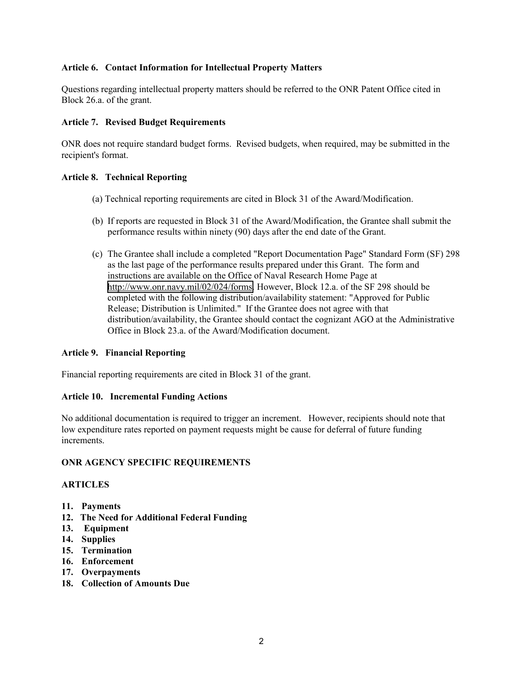## **Article 6. Contact Information for Intellectual Property Matters**

Questions regarding intellectual property matters should be referred to the ONR Patent Office cited in Block 26.a. of the grant.

## **Article 7. Revised Budget Requirements**

ONR does not require standard budget forms. Revised budgets, when required, may be submitted in the recipient's format.

## **Article 8. Technical Reporting**

- (a) Technical reporting requirements are cited in Block 31 of the Award/Modification.
- (b) If reports are requested in Block 31 of the Award/Modification, the Grantee shall submit the performance results within ninety (90) days after the end date of the Grant.
- (c) The Grantee shall include a completed "Report Documentation Page" Standard Form (SF) 298 as the last page of the performance results prepared under this Grant. The form and instructions are available on the Office of Naval Research Home Page at [http://www.onr.navy.mil/02/024/forms.](http://www.onr.navy.mil/02/024/forms) However, Block 12.a. of the SF 298 should be completed with the following distribution/availability statement: "Approved for Public Release; Distribution is Unlimited." If the Grantee does not agree with that distribution/availability, the Grantee should contact the cognizant AGO at the Administrative Office in Block 23.a. of the Award/Modification document.

### **Article 9. Financial Reporting**

Financial reporting requirements are cited in Block 31 of the grant.

### **Article 10. Incremental Funding Actions**

No additional documentation is required to trigger an increment. However, recipients should note that low expenditure rates reported on payment requests might be cause for deferral of future funding increments.

### **ONR AGENCY SPECIFIC REQUIREMENTS**

### **ARTICLES**

- **11. Payments**
- **12. The Need for Additional Federal Funding**
- **13. Equipment**
- **14. Supplies**
- **15. Termination**
- **16. Enforcement**
- **17. Overpayments**
- **18. Collection of Amounts Due**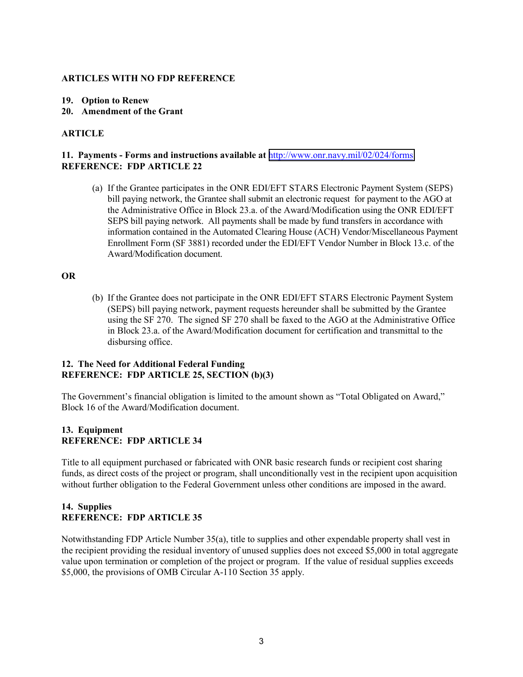### **ARTICLES WITH NO FDP REFERENCE**

### **19. Option to Renew**

**20. Amendment of the Grant**

## **ARTICLE**

## **11. Payments - Forms and instructions available at** <http://www.onr.navy.mil/02/024/forms> **REFERENCE: FDP ARTICLE 22**

(a) If the Grantee participates in the ONR EDI/EFT STARS Electronic Payment System (SEPS) bill paying network, the Grantee shall submit an electronic request for payment to the AGO at the Administrative Office in Block 23.a. of the Award/Modification using the ONR EDI/EFT SEPS bill paying network. All payments shall be made by fund transfers in accordance with information contained in the Automated Clearing House (ACH) Vendor/Miscellaneous Payment Enrollment Form (SF 3881) recorded under the EDI/EFT Vendor Number in Block 13.c. of the Award/Modification document.

#### **OR**

(b) If the Grantee does not participate in the ONR EDI/EFT STARS Electronic Payment System (SEPS) bill paying network, payment requests hereunder shall be submitted by the Grantee using the SF 270. The signed SF 270 shall be faxed to the AGO at the Administrative Office in Block 23.a. of the Award/Modification document for certification and transmittal to the disbursing office.

## **12. The Need for Additional Federal Funding REFERENCE: FDP ARTICLE 25, SECTION (b)(3)**

The Government's financial obligation is limited to the amount shown as "Total Obligated on Award," Block 16 of the Award/Modification document.

## **13. Equipment REFERENCE: FDP ARTICLE 34**

Title to all equipment purchased or fabricated with ONR basic research funds or recipient cost sharing funds, as direct costs of the project or program, shall unconditionally vest in the recipient upon acquisition without further obligation to the Federal Government unless other conditions are imposed in the award.

## **14. Supplies REFERENCE: FDP ARTICLE 35**

Notwithstanding FDP Article Number 35(a), title to supplies and other expendable property shall vest in the recipient providing the residual inventory of unused supplies does not exceed \$5,000 in total aggregate value upon termination or completion of the project or program. If the value of residual supplies exceeds \$5,000, the provisions of OMB Circular A-110 Section 35 apply.